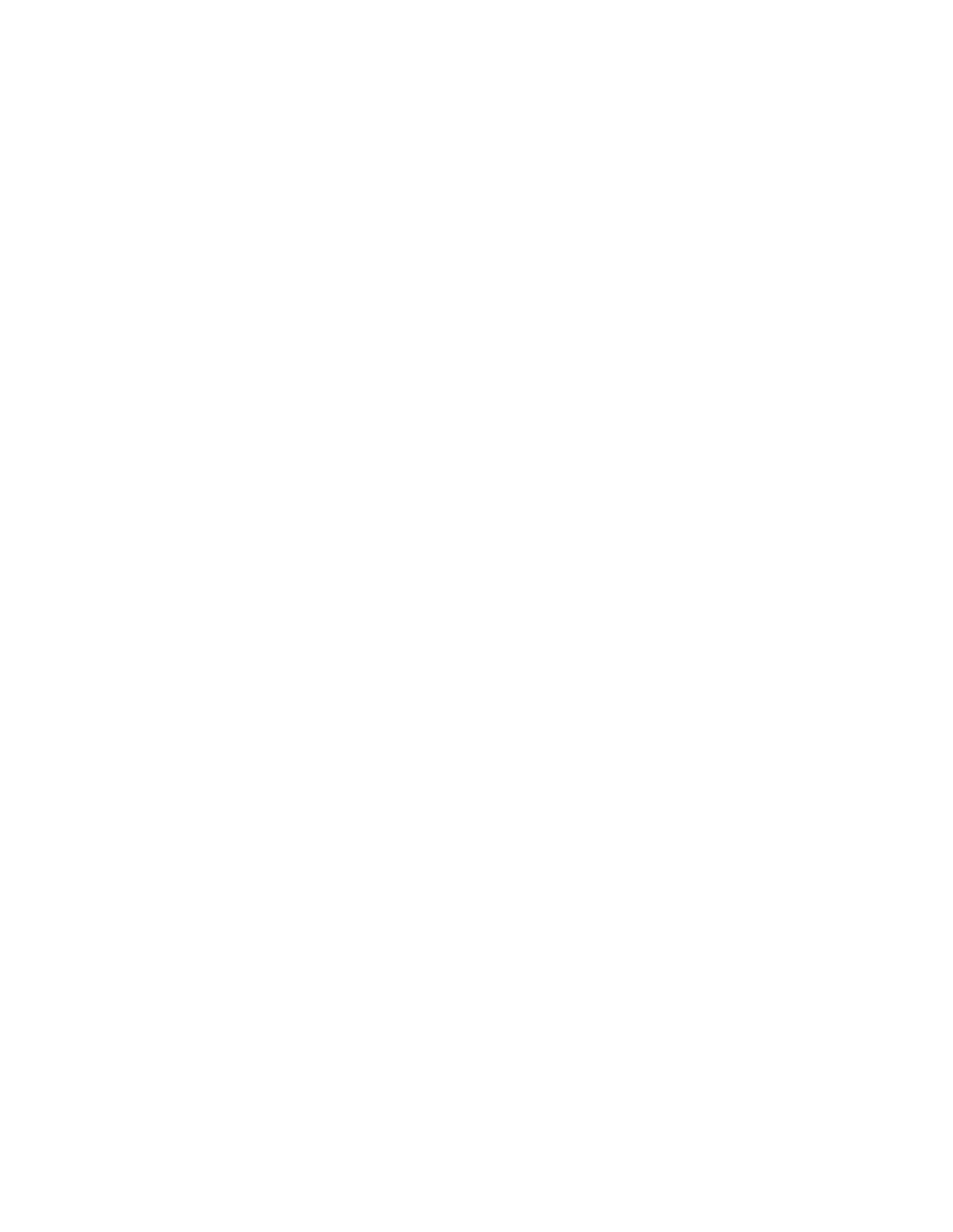## **AMENDED AGENDA**

## **Rogue Valley Metropolitan Planning Organization Policy Committee**



| Date:     | Tuesday, June 25, 2019                   |
|-----------|------------------------------------------|
| Time:     | 2:00 p.m.                                |
| Location: | Jefferson Conference Room                |
|           | RVCOG, 155 N. 1st Street, Central Point  |
|           | Transit: served by RVTD Route #40        |
| Contact:  | Rebecca Schexnayder, RVCOG: 541-423-1375 |
|           | RVMPO website: www.rvmpo.org             |

| 1                                                                       | <b>Call to Order / Introductions / Review Agenda</b>                                                                                                                                                                                                                                                                                                                                                                                                                                                                                             | <b>Mike</b><br><b>Ouilty,</b><br><b>Chair</b> |  |  |
|-------------------------------------------------------------------------|--------------------------------------------------------------------------------------------------------------------------------------------------------------------------------------------------------------------------------------------------------------------------------------------------------------------------------------------------------------------------------------------------------------------------------------------------------------------------------------------------------------------------------------------------|-----------------------------------------------|--|--|
| <b>Consent Agenda</b>                                                   |                                                                                                                                                                                                                                                                                                                                                                                                                                                                                                                                                  |                                               |  |  |
| $\overline{2}$                                                          | <b>Review / Approve Minutes</b>                                                                                                                                                                                                                                                                                                                                                                                                                                                                                                                  | <b>Chair</b>                                  |  |  |
| <b>Attachment</b>                                                       | #1   RVMPO Policy Committee Meeting Draft Minutes 20190528                                                                                                                                                                                                                                                                                                                                                                                                                                                                                       |                                               |  |  |
| <b>PUBLIC HEARING</b><br>Chair will read the public hearing procedures: |                                                                                                                                                                                                                                                                                                                                                                                                                                                                                                                                                  |                                               |  |  |
| 3                                                                       | Amendments to the 2018–2021 RVMPO<br><b>Transportation Improvement Program (TIP)</b>                                                                                                                                                                                                                                                                                                                                                                                                                                                             | <b>Ryan MacLaren</b>                          |  |  |
| <b>Background</b>                                                       | The Policy Committee will hold a public hearing to review and consider<br>adoption of amendments to the 2018–2021 Transportation Improvement<br>Program (TIP) to include the following projects:<br><b>North Couplet Pedestrian Crossing (Phoenix)</b><br>The 21-day public comment period and public hearing was advertised on June<br>3rd in the Medford Mail Tribune and information is currently available on the<br>RVMPO website. The TAC recommended approval of the amendment to the<br>Policy Committee at their June 12, 2019 meeting. |                                               |  |  |
| <b>Attachment</b>                                                       | #2   Memo: RTP/TIP Amendment                                                                                                                                                                                                                                                                                                                                                                                                                                                                                                                     |                                               |  |  |
| Action<br>Requested                                                     | Approve the $2018-2021$<br>Transportation Improvement Program<br>amendments.                                                                                                                                                                                                                                                                                                                                                                                                                                                                     | (TIP)                                         |  |  |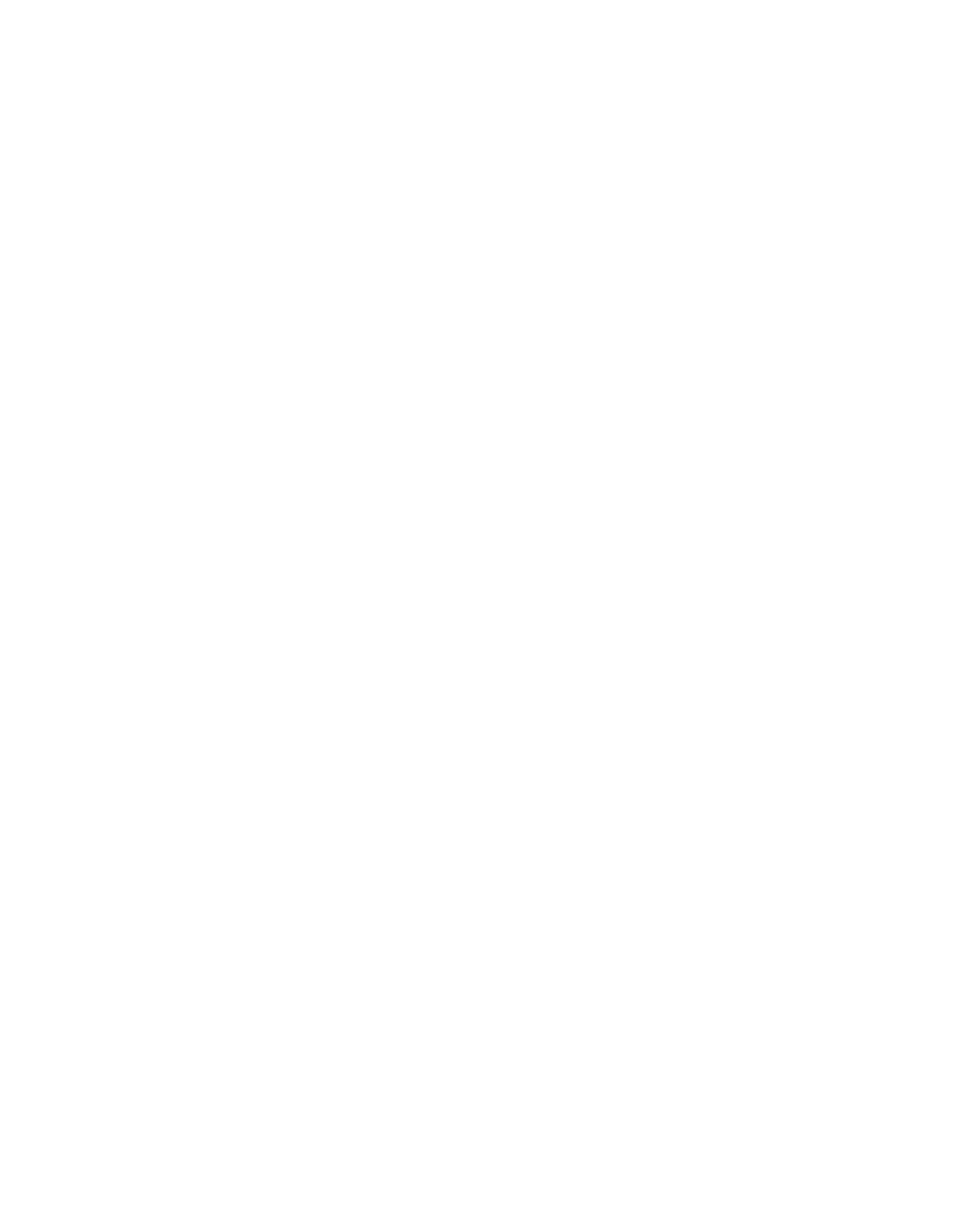| <b>Action Items</b>     |                                                                                                                                                                                                                                                                                                                                                                                                                                                                                                                                                                                                                                                                                                                                                                  |                        |  |  |  |
|-------------------------|------------------------------------------------------------------------------------------------------------------------------------------------------------------------------------------------------------------------------------------------------------------------------------------------------------------------------------------------------------------------------------------------------------------------------------------------------------------------------------------------------------------------------------------------------------------------------------------------------------------------------------------------------------------------------------------------------------------------------------------------------------------|------------------------|--|--|--|
| $\overline{\mathbf{4}}$ | <b>Discussion</b><br>and Resolution of Washington<br>St.<br><b>Extension</b>                                                                                                                                                                                                                                                                                                                                                                                                                                                                                                                                                                                                                                                                                     | <b>Karl Welzenbach</b> |  |  |  |
| <b>Background</b>       | The Washington Street Extension was a substitution project submitted by the<br>City of Ashland for the Nevada Street Bridge project. This substitution was a<br>subject of much discussion at the Technical Advisory Committee. Eventually,<br>the TAC recommended that the substitution be approved with the caveat of<br>ensuring that a median on OR 99 (either partial or whole) be included. The<br>TAC also recommended programming an additional \$35,000 to cover the cost<br>of the median. The Policy Committee approved these recommendations.<br>ODOT has now stated that the median cannot be built to work correctly.<br>Art Anderson has requested that this issue be brought back to the Policy<br>Committee for discussion and possible action. |                        |  |  |  |
| <b>Attachment</b>       | #3   Memo on Reallocation of STBG Funds: Ashland                                                                                                                                                                                                                                                                                                                                                                                                                                                                                                                                                                                                                                                                                                                 |                        |  |  |  |
| Action<br>Requested     | Discussion and Determination by the Policy Committee.                                                                                                                                                                                                                                                                                                                                                                                                                                                                                                                                                                                                                                                                                                            |                        |  |  |  |
| 5                       | Review and Authorization for Chair to Sign Letter of<br>Support for the City of Medford's BUILD Grant<br><b>Application</b>                                                                                                                                                                                                                                                                                                                                                                                                                                                                                                                                                                                                                                      | <b>Karl Welzenbach</b> |  |  |  |
| <b>Background</b>       | The City of Medford is submitting a grant application for a \$20.5 million<br>federal grant to help fund improvements to the City's North Phoenix<br>Rd/Foothills Rd. "Mega-Corridor".                                                                                                                                                                                                                                                                                                                                                                                                                                                                                                                                                                           |                        |  |  |  |
| <b>Attachment</b>       | #4   Draft Letter of Support                                                                                                                                                                                                                                                                                                                                                                                                                                                                                                                                                                                                                                                                                                                                     |                        |  |  |  |
| Action<br>Requested     | Review and authorization by the Policy Committee for Chair to sign letter of support<br>on behalf of the RVMPO.                                                                                                                                                                                                                                                                                                                                                                                                                                                                                                                                                                                                                                                  |                        |  |  |  |
| <b>Discussion Items</b> |                                                                                                                                                                                                                                                                                                                                                                                                                                                                                                                                                                                                                                                                                                                                                                  |                        |  |  |  |
| 6                       | <b>Public Comment</b>                                                                                                                                                                                                                                                                                                                                                                                                                                                                                                                                                                                                                                                                                                                                            | <b>Chair</b>           |  |  |  |
| <b>Regular Updates</b>  |                                                                                                                                                                                                                                                                                                                                                                                                                                                                                                                                                                                                                                                                                                                                                                  |                        |  |  |  |
| 7                       | <b>RVMPO Planning Update</b>                                                                                                                                                                                                                                                                                                                                                                                                                                                                                                                                                                                                                                                                                                                                     | <b>Karl Welzenbach</b> |  |  |  |
| 8                       | <b>Other Business / Local Business</b><br>Opportunity for RVMPO member jurisdictions to talk about<br>transportation planning projects.                                                                                                                                                                                                                                                                                                                                                                                                                                                                                                                                                                                                                          | <b>Chair</b>           |  |  |  |
| 9                       | <b>Adjournment</b>                                                                                                                                                                                                                                                                                                                                                                                                                                                                                                                                                                                                                                                                                                                                               | <b>Chair</b>           |  |  |  |